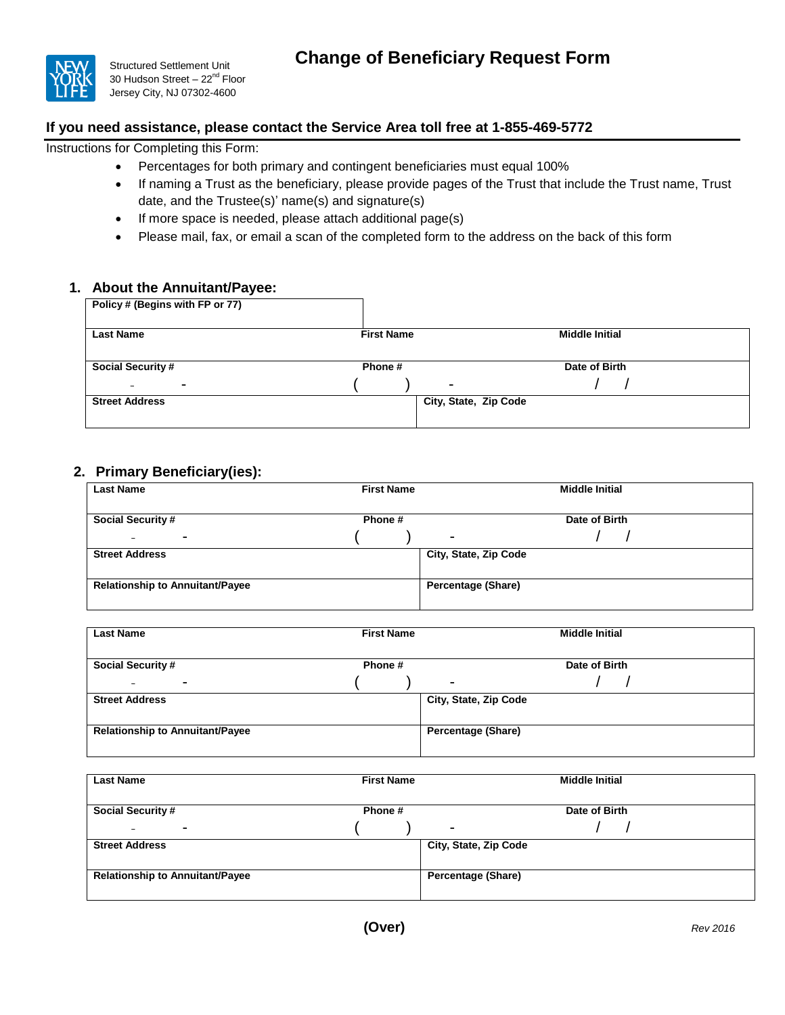

Structured Settlement Unit 30 Hudson Street - 22<sup>nd</sup> Floor Jersey City, NJ 07302-4600

## **If you need assistance, please contact the Service Area toll free at 1-855-469-5772**

Instructions for Completing this Form:

- Percentages for both primary and contingent beneficiaries must equal 100%
- If naming a Trust as the beneficiary, please provide pages of the Trust that include the Trust name, Trust date, and the Trustee(s)' name(s) and signature(s)
- If more space is needed, please attach additional page(s)
- Please mail, fax, or email a scan of the completed form to the address on the back of this form

## **1. About the Annuitant/Payee:**

| Policy # (Begins with FP or 77)            |                       |                       |
|--------------------------------------------|-----------------------|-----------------------|
| <b>Last Name</b>                           | <b>First Name</b>     | <b>Middle Initial</b> |
| <b>Social Security #</b>                   | Phone #               | Date of Birth         |
| $\blacksquare$<br>$\overline{\phantom{0}}$ | $\blacksquare$        |                       |
| <b>Street Address</b>                      | City, State, Zip Code |                       |
|                                            |                       |                       |

## **2. Primary Beneficiary(ies):**

| <b>Last Name</b>                       | <b>First Name</b> | <b>Middle Initial</b>     |
|----------------------------------------|-------------------|---------------------------|
|                                        |                   |                           |
| <b>Social Security #</b>               | Phone #           | Date of Birth             |
| ۰<br>$\overline{\phantom{0}}$          |                   | $\overline{\phantom{0}}$  |
| <b>Street Address</b>                  |                   | City, State, Zip Code     |
| <b>Relationship to Annuitant/Payee</b> |                   | <b>Percentage (Share)</b> |

| <b>Last Name</b>                       | <b>First Name</b> | <b>Middle Initial</b>     |
|----------------------------------------|-------------------|---------------------------|
| <b>Social Security #</b>               | Phone #           | Date of Birth             |
| -<br>-                                 |                   | $\blacksquare$            |
| <b>Street Address</b>                  |                   | City, State, Zip Code     |
|                                        |                   |                           |
| <b>Relationship to Annuitant/Payee</b> |                   | <b>Percentage (Share)</b> |
|                                        |                   |                           |

| <b>Last Name</b>                       | <b>First Name</b> | <b>Middle Initial</b>     |
|----------------------------------------|-------------------|---------------------------|
| <b>Social Security #</b>               | Phone#            | Date of Birth             |
| $\blacksquare$<br>-                    |                   | $\overline{\phantom{0}}$  |
| <b>Street Address</b>                  |                   | City, State, Zip Code     |
| <b>Relationship to Annuitant/Payee</b> |                   | <b>Percentage (Share)</b> |